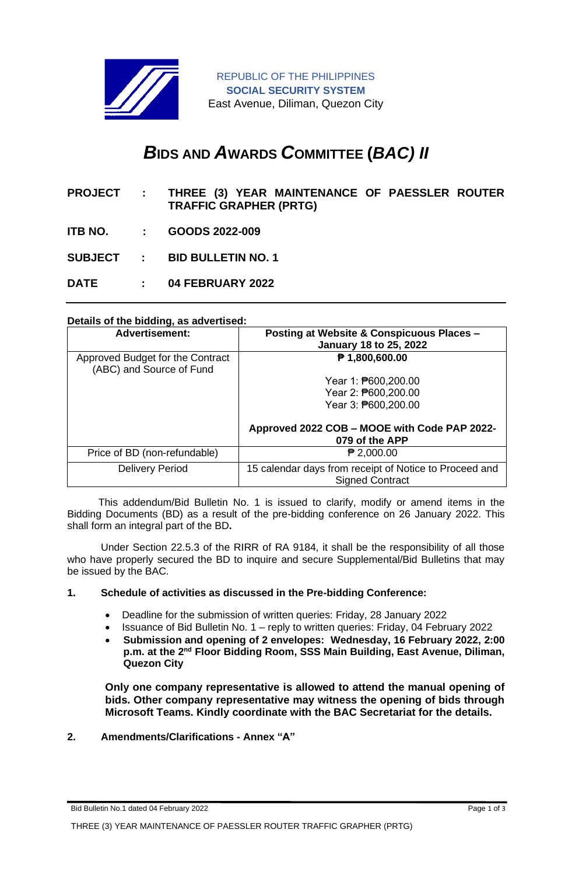

REPUBLIC OF THE PHILIPPINES **SOCIAL SECURITY SYSTEM** East Avenue, Diliman, Quezon City

# *B***IDS AND** *A***WARDS** *C***OMMITTEE (***BAC) II*

- **PROJECT : THREE (3) YEAR MAINTENANCE OF PAESSLER ROUTER TRAFFIC GRAPHER (PRTG)**
- **ITB NO. : GOODS 2022-009**

**SUBJECT : BID BULLETIN NO. 1**

**DATE : 04 FEBRUARY 2022**

### **Details of the bidding, as advertised:**

| <b>Advertisement:</b>                                        | Posting at Website & Conspicuous Places -<br><b>January 18 to 25, 2022</b>       |
|--------------------------------------------------------------|----------------------------------------------------------------------------------|
| Approved Budget for the Contract<br>(ABC) and Source of Fund | ₱ 1,800,600.00                                                                   |
|                                                              | Year 1: ₱600,200.00                                                              |
|                                                              | Year 2: ₱600,200.00                                                              |
|                                                              | Year 3: ₱600,200.00                                                              |
|                                                              | Approved 2022 COB - MOOE with Code PAP 2022-<br>079 of the APP                   |
| Price of BD (non-refundable)                                 | $P$ 2,000.00                                                                     |
| <b>Delivery Period</b>                                       | 15 calendar days from receipt of Notice to Proceed and<br><b>Signed Contract</b> |

 This addendum/Bid Bulletin No. 1 is issued to clarify, modify or amend items in the Bidding Documents (BD) as a result of the pre-bidding conference on 26 January 2022. This shall form an integral part of the BD**.**

Under Section 22.5.3 of the RIRR of RA 9184, it shall be the responsibility of all those who have properly secured the BD to inquire and secure Supplemental/Bid Bulletins that may be issued by the BAC.

### **1. Schedule of activities as discussed in the Pre-bidding Conference:**

- Deadline for the submission of written queries: Friday, 28 January 2022
- Issuance of Bid Bulletin No. 1 reply to written queries: Friday, 04 February 2022
- **Submission and opening of 2 envelopes: Wednesday, 16 February 2022, 2:00**  p.m. at the 2<sup>nd</sup> Floor Bidding Room, SSS Main Building, East Avenue, Diliman, **Quezon City**

**Only one company representative is allowed to attend the manual opening of bids. Other company representative may witness the opening of bids through Microsoft Teams. Kindly coordinate with the BAC Secretariat for the details.**

## **2. Amendments/Clarifications - Annex "A"**

Bid Bulletin No.1 dated 04 February 2022 **Page 1 of 3** Page 1 of 3

THREE (3) YEAR MAINTENANCE OF PAESSLER ROUTER TRAFFIC GRAPHER (PRTG)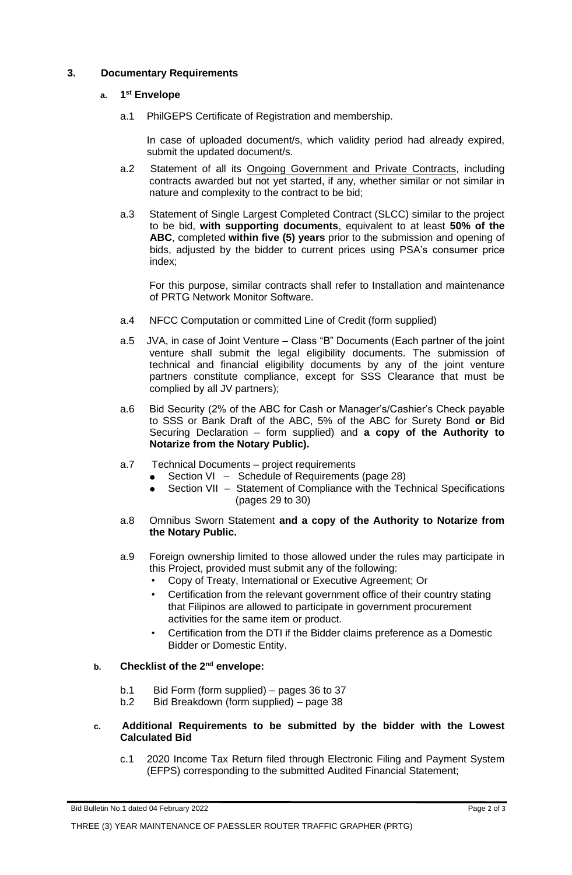## **3. Documentary Requirements**

### **a. 1 st Envelope**

a.1 PhilGEPS Certificate of Registration and membership.

In case of uploaded document/s, which validity period had already expired, submit the updated document/s.

- a.2 Statement of all its Ongoing Government and Private Contracts, including contracts awarded but not yet started, if any, whether similar or not similar in nature and complexity to the contract to be bid;
- a.3 Statement of Single Largest Completed Contract (SLCC) similar to the project to be bid, **with supporting documents**, equivalent to at least **50% of the ABC**, completed **within five (5) years** prior to the submission and opening of bids, adjusted by the bidder to current prices using PSA's consumer price index;

For this purpose, similar contracts shall refer to Installation and maintenance of PRTG Network Monitor Software.

- a.4 NFCC Computation or committed Line of Credit (form supplied)
- a.5 JVA, in case of Joint Venture Class "B" Documents (Each partner of the joint venture shall submit the legal eligibility documents. The submission of technical and financial eligibility documents by any of the joint venture partners constitute compliance, except for SSS Clearance that must be complied by all JV partners);
- a.6 Bid Security (2% of the ABC for Cash or Manager's/Cashier's Check payable to SSS or Bank Draft of the ABC, 5% of the ABC for Surety Bond **or** Bid Securing Declaration – form supplied) and **a copy of the Authority to Notarize from the Notary Public).**
- a.7 Technical Documents project requirements
	- Section VI Schedule of Requirements (page 28)
	- Section VII Statement of Compliance with the Technical Specifications (pages 29 to 30)
- a.8 Omnibus Sworn Statement **and a copy of the Authority to Notarize from the Notary Public.**
- a.9 Foreign ownership limited to those allowed under the rules may participate in this Project, provided must submit any of the following:
	- Copy of Treaty, International or Executive Agreement; Or
	- Certification from the relevant government office of their country stating that Filipinos are allowed to participate in government procurement activities for the same item or product.
	- Certification from the DTI if the Bidder claims preference as a Domestic Bidder or Domestic Entity.

## **b. Checklist of the 2nd envelope:**

- b.1 Bid Form (form supplied) pages 36 to 37
- b.2 Bid Breakdown (form supplied) page 38
- **c. Additional Requirements to be submitted by the bidder with the Lowest Calculated Bid**
	- c.1 2020 Income Tax Return filed through Electronic Filing and Payment System (EFPS) corresponding to the submitted Audited Financial Statement;

Bid Bulletin No.1 dated 04 February 2022 **Page 2 of 3 Page 2 of 3**